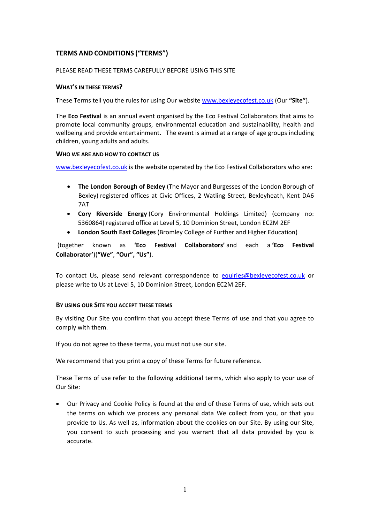# **TERMS AND CONDITIONS ("TERMS")**

## PLEASE READ THESE TERMS CAREFULLY BEFORE USING THIS SITE

### **WHAT'S IN THESE TERMS?**

These Terms tell you the rules for using Our website [www.bexleyecofest.co.uk](http://www.bexleyecofest.co.uk/) (Our **"Site"**).

The **Eco Festival** is an annual event organised by the Eco Festival Collaborators that aims to promote local community groups, environmental education and sustainability, health and wellbeing and provide entertainment. The event is aimed at a range of age groups including children, young adults and adults.

#### **WHO WE ARE AND HOW TO CONTACT US**

[www.bexleyecofest.co.uk](http://www.bexleyecofest.co.uk/) is the website operated by the Eco Festival Collaborators who are:

- **The London Borough of Bexley** (The Mayor and Burgesses of the London Borough of Bexley) registered offices at Civic Offices, 2 Watling Street, Bexleyheath, Kent DA6 7AT
- **Cory Riverside Energy** (Cory Environmental Holdings Limited) (company no: 5360864) registered office at Level 5, 10 Dominion Street, London EC2M 2EF
- **London South East Colleges** (Bromley College of Further and Higher Education)

(together known as **'Eco Festival Collaborators'** and each a **'Eco Festival Collaborator'**)(**"We"**, **"Our", "Us"**).

To contact Us, please send relevant correspondence to [equiries@bexleyecofest.co.uk](mailto:equiries@bexleyecofest.co.uk) or please write to Us at Level 5, 10 Dominion Street, London EC2M 2EF.

## **BY USING OUR SITE YOU ACCEPT THESE TERMS**

By visiting Our Site you confirm that you accept these Terms of use and that you agree to comply with them.

If you do not agree to these terms, you must not use our site.

We recommend that you print a copy of these Terms for future reference.

These Terms of use refer to the following additional terms, which also apply to your use of Our Site:

• Our Privacy and Cookie Policy is found at the end of these Terms of use, which sets out the terms on which we process any personal data We collect from you, or that you provide to Us. As well as, information about the cookies on our Site. By using our Site, you consent to such processing and you warrant that all data provided by you is accurate.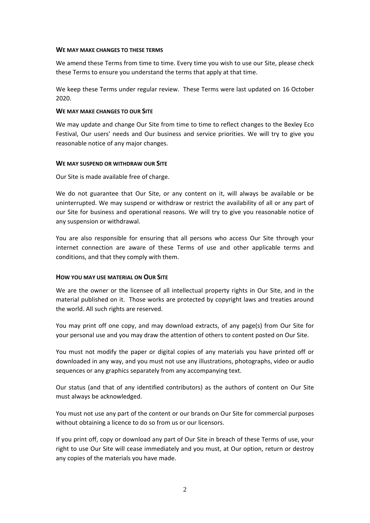#### **WE MAY MAKE CHANGES TO THESE TERMS**

We amend these Terms from time to time. Every time you wish to use our Site, please check these Terms to ensure you understand the terms that apply at that time.

We keep these Terms under regular review. These Terms were last updated on 16 October 2020.

### **WE MAY MAKE CHANGES TO OUR SITE**

We may update and change Our Site from time to time to reflect changes to the Bexley Eco Festival, Our users' needs and Our business and service priorities. We will try to give you reasonable notice of any major changes.

#### **WE MAY SUSPEND OR WITHDRAW OUR SITE**

Our Site is made available free of charge.

We do not guarantee that Our Site, or any content on it, will always be available or be uninterrupted. We may suspend or withdraw or restrict the availability of all or any part of our Site for business and operational reasons. We will try to give you reasonable notice of any suspension or withdrawal.

You are also responsible for ensuring that all persons who access Our Site through your internet connection are aware of these Terms of use and other applicable terms and conditions, and that they comply with them.

## **HOW YOU MAY USE MATERIAL ON OUR SITE**

We are the owner or the licensee of all intellectual property rights in Our Site, and in the material published on it. Those works are protected by copyright laws and treaties around the world. All such rights are reserved.

You may print off one copy, and may download extracts, of any page(s) from Our Site for your personal use and you may draw the attention of others to content posted on Our Site.

You must not modify the paper or digital copies of any materials you have printed off or downloaded in any way, and you must not use any illustrations, photographs, video or audio sequences or any graphics separately from any accompanying text.

Our status (and that of any identified contributors) as the authors of content on Our Site must always be acknowledged.

You must not use any part of the content or our brands on Our Site for commercial purposes without obtaining a licence to do so from us or our licensors.

If you print off, copy or download any part of Our Site in breach of these Terms of use, your right to use Our Site will cease immediately and you must, at Our option, return or destroy any copies of the materials you have made.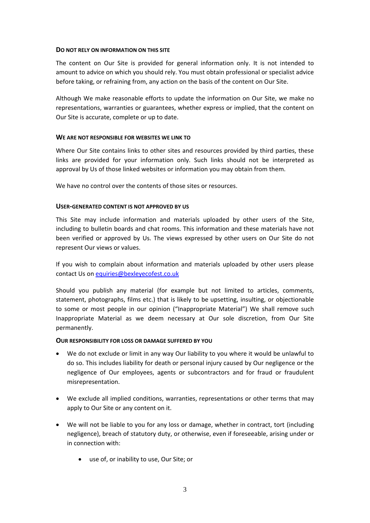### **DO NOT RELY ON INFORMATION ON THIS SITE**

The content on Our Site is provided for general information only. It is not intended to amount to advice on which you should rely. You must obtain professional or specialist advice before taking, or refraining from, any action on the basis of the content on Our Site.

Although We make reasonable efforts to update the information on Our Site, we make no representations, warranties or guarantees, whether express or implied, that the content on Our Site is accurate, complete or up to date.

#### **WE ARE NOT RESPONSIBLE FOR WEBSITES WE LINK TO**

Where Our Site contains links to other sites and resources provided by third parties, these links are provided for your information only. Such links should not be interpreted as approval by Us of those linked websites or information you may obtain from them.

We have no control over the contents of those sites or resources.

#### **USER-GENERATED CONTENT IS NOT APPROVED BY US**

This Site may include information and materials uploaded by other users of the Site, including to bulletin boards and chat rooms. This information and these materials have not been verified or approved by Us. The views expressed by other users on Our Site do not represent Our views or values.

If you wish to complain about information and materials uploaded by other users please contact Us on [equiries@bexleyecofest.co.uk](mailto:equiries@bexleyecofest.co.uk)

Should you publish any material (for example but not limited to articles, comments, statement, photographs, films etc.) that is likely to be upsetting, insulting, or objectionable to some or most people in our opinion ("Inappropriate Material") We shall remove such Inappropriate Material as we deem necessary at Our sole discretion, from Our Site permanently.

#### **OUR RESPONSIBILITY FOR LOSS OR DAMAGE SUFFERED BY YOU**

- We do not exclude or limit in any way Our liability to you where it would be unlawful to do so. This includes liability for death or personal injury caused by Our negligence or the negligence of Our employees, agents or subcontractors and for fraud or fraudulent misrepresentation.
- We exclude all implied conditions, warranties, representations or other terms that may apply to Our Site or any content on it.
- We will not be liable to you for any loss or damage, whether in contract, tort (including negligence), breach of statutory duty, or otherwise, even if foreseeable, arising under or in connection with:
	- use of, or inability to use, Our Site; or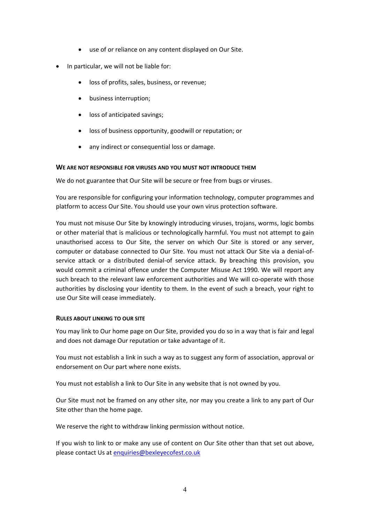- use of or reliance on any content displayed on Our Site.
- In particular, we will not be liable for:
	- loss of profits, sales, business, or revenue;
	- business interruption;
	- loss of anticipated savings;
	- loss of business opportunity, goodwill or reputation; or
	- any indirect or consequential loss or damage.

#### **WE ARE NOT RESPONSIBLE FOR VIRUSES AND YOU MUST NOT INTRODUCE THEM**

We do not guarantee that Our Site will be secure or free from bugs or viruses.

You are responsible for configuring your information technology, computer programmes and platform to access Our Site. You should use your own virus protection software.

You must not misuse Our Site by knowingly introducing viruses, trojans, worms, logic bombs or other material that is malicious or technologically harmful. You must not attempt to gain unauthorised access to Our Site, the server on which Our Site is stored or any server, computer or database connected to Our Site. You must not attack Our Site via a denial-ofservice attack or a distributed denial-of service attack. By breaching this provision, you would commit a criminal offence under the Computer Misuse Act 1990. We will report any such breach to the relevant law enforcement authorities and We will co-operate with those authorities by disclosing your identity to them. In the event of such a breach, your right to use Our Site will cease immediately.

## **RULES ABOUT LINKING TO OUR SITE**

You may link to Our home page on Our Site, provided you do so in a way that is fair and legal and does not damage Our reputation or take advantage of it.

You must not establish a link in such a way as to suggest any form of association, approval or endorsement on Our part where none exists.

You must not establish a link to Our Site in any website that is not owned by you.

Our Site must not be framed on any other site, nor may you create a link to any part of Our Site other than the home page.

We reserve the right to withdraw linking permission without notice.

If you wish to link to or make any use of content on Our Site other than that set out above, please contact Us a[t enquiries@bexleyecofest.co.uk](mailto:enquiries@bexleyecofest.co.uk)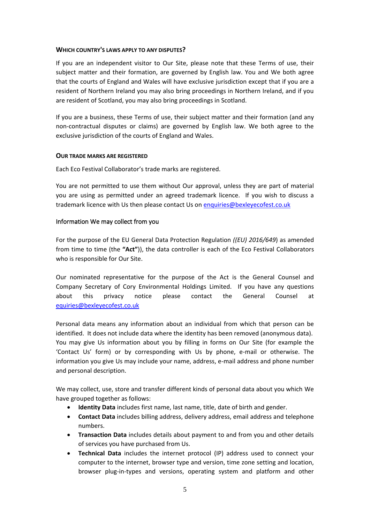## **WHICH COUNTRY'S LAWS APPLY TO ANY DISPUTES?**

If you are an independent visitor to Our Site, please note that these Terms of use, their subject matter and their formation, are governed by English law. You and We both agree that the courts of England and Wales will have exclusive jurisdiction except that if you are a resident of Northern Ireland you may also bring proceedings in Northern Ireland, and if you are resident of Scotland, you may also bring proceedings in Scotland.

If you are a business, these Terms of use, their subject matter and their formation (and any non-contractual disputes or claims) are governed by English law. We both agree to the exclusive jurisdiction of the courts of England and Wales.

## **OUR TRADE MARKS ARE REGISTERED**

Each Eco Festival Collaborator's trade marks are registered.

You are not permitted to use them without Our approval, unless they are part of material you are using as permitted under an agreed trademark licence. If you wish to discuss a trademark licence with Us then please contact Us o[n enquiries@bexleyecofest.co.uk](mailto:enquiries@bexleyecofest.co.uk)

## Information We may collect from you

For the purpose of the EU General Data Protection Regulation *((EU) 2016/649*) as amended from time to time (the **"Act"**)), the data controller is each of the Eco Festival Collaborators who is responsible for Our Site.

Our nominated representative for the purpose of the Act is the General Counsel and Company Secretary of Cory Environmental Holdings Limited. If you have any questions about this privacy notice please contact the General Counsel at [equiries@bexleyecofest.co.uk](mailto:equiries@bexleyecofest.co.uk)

Personal data means any information about an individual from which that person can be identified. It does not include data where the identity has been removed (anonymous data). You may give Us information about you by filling in forms on Our Site (for example the 'Contact Us' form) or by corresponding with Us by phone, e-mail or otherwise. The information you give Us may include your name, address, e-mail address and phone number and personal description.

We may collect, use, store and transfer different kinds of personal data about you which We have grouped together as follows:

- **Identity Data** includes first name, last name, title, date of birth and gender.
- **Contact Data** includes billing address, delivery address, email address and telephone numbers.
- **Transaction Data** includes details about payment to and from you and other details of services you have purchased from Us.
- **Technical Data** includes the internet protocol (IP) address used to connect your computer to the internet, browser type and version, time zone setting and location, browser plug-in-types and versions, operating system and platform and other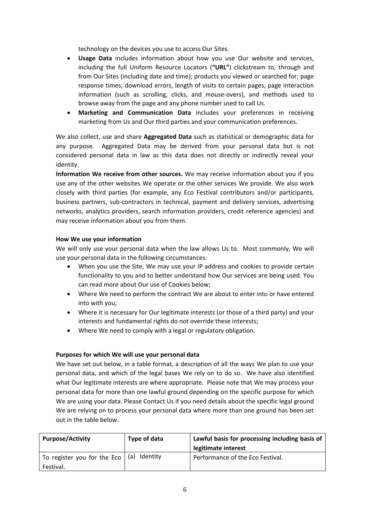technology on the devices you use to access Our Sites.

- **Usage Data** includes information about how you use Our website and services, including the full Uniform Resource Locators (**"URL"**) clickstream to, through and from Our Sites (including date and time); products you viewed or searched for; page response times, download errors, length of visits to certain pages, page interaction information (such as scrolling, clicks, and mouse-overs), and methods used to browse away from the page and any phone number used to call Us.
- **Marketing and Communication Data** includes your preferences in receiving marketing from Us and Our third parties and your communication preferences.

We also collect, use and share **Aggregated Data** such as statistical or demographic data for any purpose. Aggregated Data may be derived from your personal data but is not considered personal data in law as this data does not directly or indirectly reveal your identity.

**Information We receive from other sources.** We may receive information about you if you use any of the other websites We operate or the other services We provide. We also work closely with third parties (for example, any Eco Festival contributors and/or participants, business partners, sub-contractors in technical, payment and delivery services, advertising networks, analytics providers, search information providers, credit reference agencies) and may receive information about you from them.

## **How We use your information**

We will only use your personal data when the law allows Us to. Most commonly, We will use your personal data in the following circumstances:

- When you use the Site, We may use your IP address and cookies to provide certain functionality to you and to better understand how Our services are being used. You can read more about Our use of Cookies below;
- Where We need to perform the contract We are about to enter into or have entered into with you;
- Where it is necessary for Our legitimate interests (or those of a third party) and your interests and fundamental rights do not override these interests;
- Where We need to comply with a legal or regulatory obligation.

## **Purposes for which We will use your personal data**

We have set out below, in a table format, a description of all the ways We plan to use your personal data, and which of the legal bases We rely on to do so. We have also identified what Our legitimate interests are where appropriate. Please note that We may process your personal data for more than one lawful ground depending on the specific purpose for which We are using your data. Please Contact Us if you need details about the specific legal ground We are relying on to process your personal data where more than one ground has been set out in the table below.

| <b>Purpose/Activity</b>     | Type of data    | Lawful basis for processing including basis of |
|-----------------------------|-----------------|------------------------------------------------|
|                             |                 | legitimate interest                            |
| To register you for the Eco | Identity<br>(a) | Performance of the Eco Festival.               |
| Festival.                   |                 |                                                |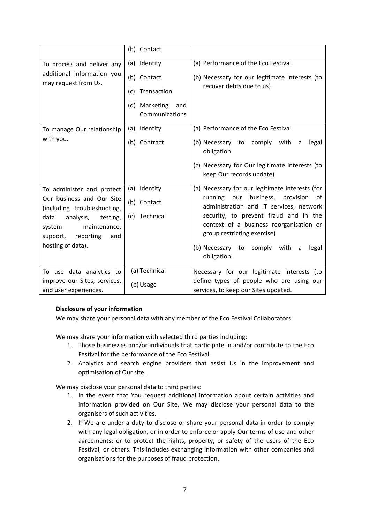|                                                                                                                                                                                                       | (b) Contact                                                                                 |                                                                                                                                                                                                                                                                                                                           |
|-------------------------------------------------------------------------------------------------------------------------------------------------------------------------------------------------------|---------------------------------------------------------------------------------------------|---------------------------------------------------------------------------------------------------------------------------------------------------------------------------------------------------------------------------------------------------------------------------------------------------------------------------|
| To process and deliver any<br>additional information you<br>may request from Us.                                                                                                                      | (a) Identity<br>(b) Contact<br>Transaction<br>(c)<br>(d) Marketing<br>and<br>Communications | (a) Performance of the Eco Festival<br>(b) Necessary for our legitimate interests (to<br>recover debts due to us).                                                                                                                                                                                                        |
| To manage Our relationship<br>with you.                                                                                                                                                               | (a) Identity<br>(b) Contract                                                                | (a) Performance of the Eco Festival<br>(b) Necessary to<br>comply<br>with<br>legal<br>a<br>obligation<br>(c) Necessary for Our legitimate interests (to<br>keep Our records update).                                                                                                                                      |
| To administer and protect<br>Our business and Our Site<br>(including troubleshooting,<br>data<br>analysis,<br>testing,<br>maintenance,<br>system<br>support,<br>reporting<br>and<br>hosting of data). | (a) Identity<br>(b) Contact<br>Technical<br>(c)                                             | (a) Necessary for our legitimate interests (for<br>running<br>business, provision<br>our<br>0f<br>administration and IT services, network<br>security, to prevent fraud and in the<br>context of a business reorganisation or<br>group restricting exercise)<br>(b) Necessary to comply with<br>legal<br>a<br>obligation. |
| To use data analytics to<br>improve our Sites, services,<br>and user experiences.                                                                                                                     | (a) Technical<br>(b) Usage                                                                  | Necessary for our legitimate interests (to<br>define types of people who are using our<br>services, to keep our Sites updated.                                                                                                                                                                                            |

## **Disclosure of your information**

We may share your personal data with any member of the Eco Festival Collaborators.

We may share your information with selected third parties including:

- 1. Those businesses and/or individuals that participate in and/or contribute to the Eco Festival for the performance of the Eco Festival.
- 2. Analytics and search engine providers that assist Us in the improvement and optimisation of Our site.

We may disclose your personal data to third parties:

- 1. In the event that You request additional information about certain activities and information provided on Our Site, We may disclose your personal data to the organisers of such activities.
- 2. If We are under a duty to disclose or share your personal data in order to comply with any legal obligation, or in order to enforce or apply Our terms of use and other agreements; or to protect the rights, property, or safety of the users of the Eco Festival, or others. This includes exchanging information with other companies and organisations for the purposes of fraud protection.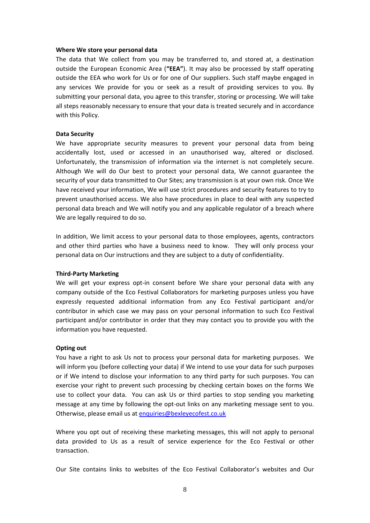#### **Where We store your personal data**

The data that We collect from you may be transferred to, and stored at, a destination outside the European Economic Area (**"EEA"**). It may also be processed by staff operating outside the EEA who work for Us or for one of Our suppliers. Such staff maybe engaged in any services We provide for you or seek as a result of providing services to you. By submitting your personal data, you agree to this transfer, storing or processing. We will take all steps reasonably necessary to ensure that your data is treated securely and in accordance with this Policy.

#### **Data Security**

We have appropriate security measures to prevent your personal data from being accidentally lost, used or accessed in an unauthorised way, altered or disclosed. Unfortunately, the transmission of information via the internet is not completely secure. Although We will do Our best to protect your personal data, We cannot guarantee the security of your data transmitted to Our Sites; any transmission is at your own risk. Once We have received your information, We will use strict procedures and security features to try to prevent unauthorised access. We also have procedures in place to deal with any suspected personal data breach and We will notify you and any applicable regulator of a breach where We are legally required to do so.

In addition, We limit access to your personal data to those employees, agents, contractors and other third parties who have a business need to know. They will only process your personal data on Our instructions and they are subject to a duty of confidentiality.

#### **Third-Party Marketing**

We will get your express opt-in consent before We share your personal data with any company outside of the Eco Festival Collaborators for marketing purposes unless you have expressly requested additional information from any Eco Festival participant and/or contributor in which case we may pass on your personal information to such Eco Festival participant and/or contributor in order that they may contact you to provide you with the information you have requested.

#### **Opting out**

You have a right to ask Us not to process your personal data for marketing purposes. We will inform you (before collecting your data) if We intend to use your data for such purposes or if We intend to disclose your information to any third party for such purposes. You can exercise your right to prevent such processing by checking certain boxes on the forms We use to collect your data. You can ask Us or third parties to stop sending you marketing message at any time by following the opt-out links on any marketing message sent to you. Otherwise, please email us at [enquiries@bexleyecofest.co.uk](mailto:enquiries@bexleyecofest.co.uk)

Where you opt out of receiving these marketing messages, this will not apply to personal data provided to Us as a result of service experience for the Eco Festival or other transaction.

Our Site contains links to websites of the Eco Festival Collaborator's websites and Our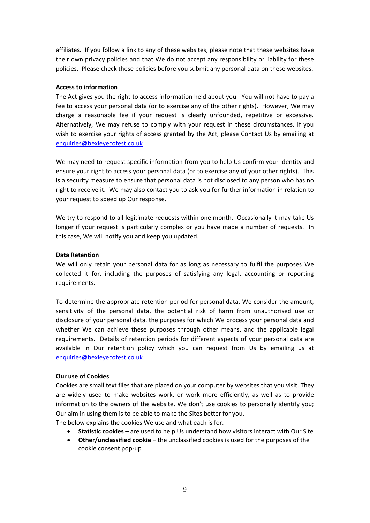affiliates. If you follow a link to any of these websites, please note that these websites have their own privacy policies and that We do not accept any responsibility or liability for these policies. Please check these policies before you submit any personal data on these websites.

### **Access to information**

The Act gives you the right to access information held about you. You will not have to pay a fee to access your personal data (or to exercise any of the other rights). However, We may charge a reasonable fee if your request is clearly unfounded, repetitive or excessive. Alternatively, We may refuse to comply with your request in these circumstances. If you wish to exercise your rights of access granted by the Act, please Contact Us by emailing at [enquiries@bexleyecofest.co.uk](mailto:enquiries@bexleyecofest.co.uk)

We may need to request specific information from you to help Us confirm your identity and ensure your right to access your personal data (or to exercise any of your other rights). This is a security measure to ensure that personal data is not disclosed to any person who has no right to receive it. We may also contact you to ask you for further information in relation to your request to speed up Our response.

We try to respond to all legitimate requests within one month. Occasionally it may take Us longer if your request is particularly complex or you have made a number of requests. In this case, We will notify you and keep you updated.

## **Data Retention**

We will only retain your personal data for as long as necessary to fulfil the purposes We collected it for, including the purposes of satisfying any legal, accounting or reporting requirements.

To determine the appropriate retention period for personal data, We consider the amount, sensitivity of the personal data, the potential risk of harm from unauthorised use or disclosure of your personal data, the purposes for which We process your personal data and whether We can achieve these purposes through other means, and the applicable legal requirements. Details of retention periods for different aspects of your personal data are available in Our retention policy which you can request from Us by emailing us at [enquiries@bexleyecofest.co.uk](mailto:enquiries@bexleyecofest.co.uk)

## **Our use of Cookies**

Cookies are small text files that are placed on your computer by websites that you visit. They are widely used to make websites work, or work more efficiently, as well as to provide information to the owners of the website. We don't use cookies to personally identify you; Our aim in using them is to be able to make the Sites better for you.

The below explains the cookies We use and what each is for.

- **Statistic cookies** are used to help Us understand how visitors interact with Our Site
- **Other/unclassified cookie** the unclassified cookies is used for the purposes of the cookie consent pop-up